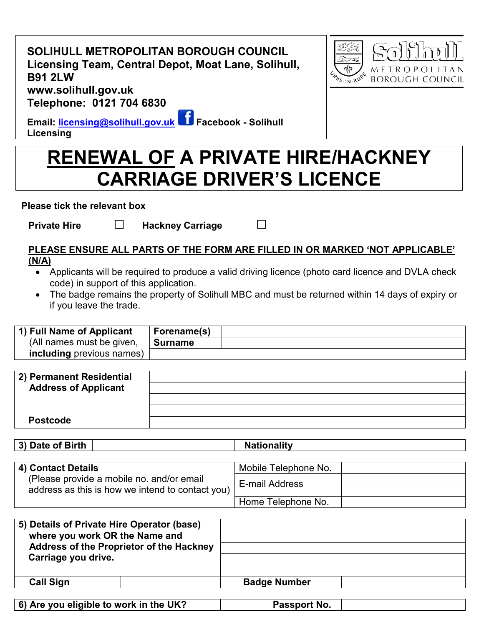| SOLIHULL METROPOLITAN BOROUGH COUNCIL               |
|-----------------------------------------------------|
| Licensing Team, Central Depot, Moat Lane, Solihull, |
| <b>B91 2LW</b>                                      |
| www.solihull.gov.uk                                 |
| Telephone: 0121 704 6830                            |



**Email: [licensing@solihull.gov.uk](mailto:licensing@solihull.gov.uk) Facebook - Solihull Licensing**

## **RENEWAL OF A PRIVATE HIRE/HACKNEY CARRIAGE DRIVER'S LICENCE**

**Please tick the relevant box** 

**Private Hire □ Hackney Carriage** □

## **PLEASE ENSURE ALL PARTS OF THE FORM ARE FILLED IN OR MARKED 'NOT APPLICABLE' (N/A)**

- Applicants will be required to produce a valid driving licence (photo card licence and DVLA check code) in support of this application.
- The badge remains the property of Solihull MBC and must be returned within 14 days of expiry or if you leave the trade.

| 1) Full Name of Applicant | Forename(s) |  |
|---------------------------|-------------|--|
| (All names must be given, | Surname     |  |
| including previous names) |             |  |

| 2) Permanent Residential    |  |
|-----------------------------|--|
| <b>Address of Applicant</b> |  |
|                             |  |
|                             |  |
| <b>Postcode</b>             |  |

**3) Date of Birth Nationality** 

| 4) Contact Details                               | Mobile Telephone No. |  |
|--------------------------------------------------|----------------------|--|
| (Please provide a mobile no. and/or email        | E-mail Address       |  |
| address as this is how we intend to contact you) |                      |  |
|                                                  | Home Telephone No.   |  |

| 5) Details of Private Hire Operator (base)<br>where you work OR the Name and |                     |
|------------------------------------------------------------------------------|---------------------|
| Address of the Proprietor of the Hackney<br>Carriage you drive.              |                     |
|                                                                              |                     |
| <b>Call Sign</b>                                                             | <b>Badge Number</b> |

| $\vert$ 6) Are you eligible to work in the UK? | Passport No. |  |
|------------------------------------------------|--------------|--|